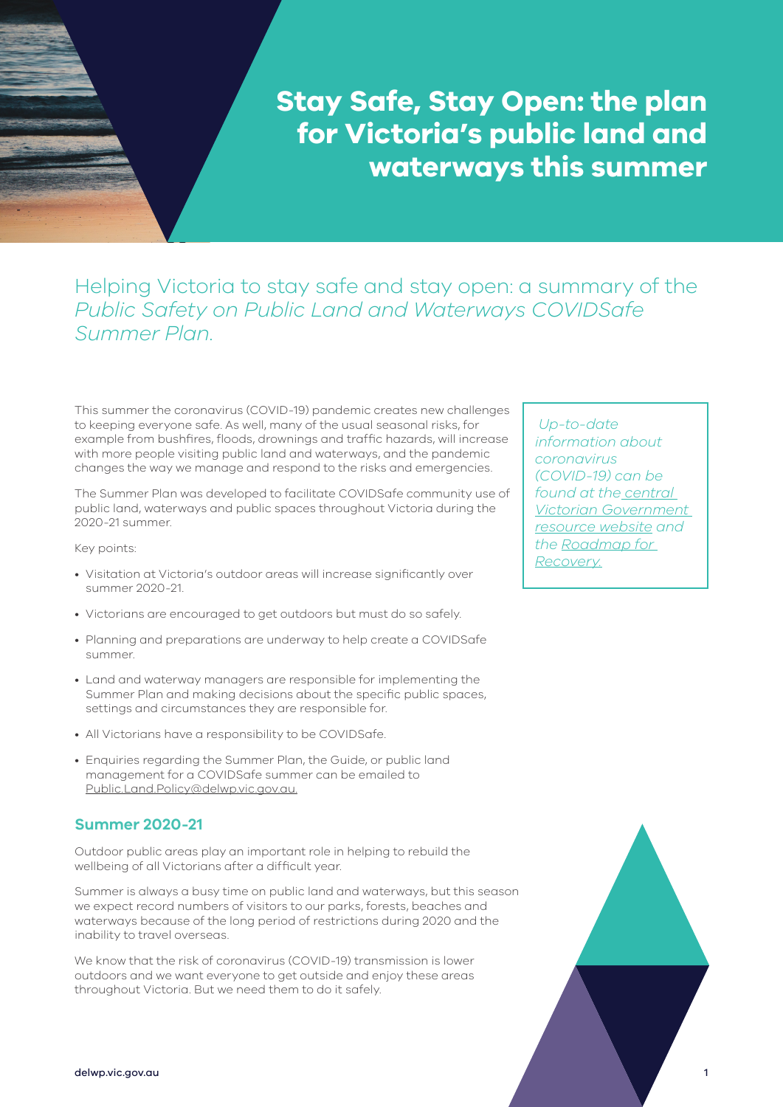**Stay Safe, Stay Open: the plan for Victoria's public land and waterways this summer**

## Helping Victoria to stay safe and stay open: a summary of the *Public Safety on Public Land and Waterways COVIDSafe Summer Plan*.

This summer the coronavirus (COVID-19) pandemic creates new challenges to keeping everyone safe. As well, many of the usual seasonal risks, for example from bushfires, floods, drownings and traffic hazards, will increase with more people visiting public land and waterways, and the pandemic changes the way we manage and respond to the risks and emergencies.

The Summer Plan was developed to facilitate COVIDSafe community use of public land, waterways and public spaces throughout Victoria during the 2020-21 summer.

Key points:

- Visitation at Victoria's outdoor areas will increase significantly over summer 2020-21.
- Victorians are encouraged to get outdoors but must do so safely.
- Planning and preparations are underway to help create a COVIDSafe summer.
- Land and waterway managers are responsible for implementing the Summer Plan and making decisions about the specific public spaces, settings and circumstances they are responsible for.
- All Victorians have a responsibility to be COVIDSafe.
- Enquiries regarding the Summer Plan, the Guide, or public land management for a COVIDSafe summer can be emailed to Public.Land.Policy@delwp.vic.gov.au.

#### **Summer 2020-21**

Outdoor public areas play an important role in helping to rebuild the wellbeing of all Victorians after a difficult year.

Summer is always a busy time on public land and waterways, but this season we expect record numbers of visitors to our parks, forests, beaches and waterways because of the long period of restrictions during 2020 and the inability to travel overseas.

We know that the risk of coronavirus (COVID-19) transmission is lower outdoors and we want everyone to get outside and enjoy these areas throughout Victoria. But we need them to do it safely.

 *Up-to-date information about coronavirus (COVID-19) can be found at the [central](https://www.coronavirus.vic.gov.au/)  [Victorian Government](https://www.coronavirus.vic.gov.au/)  [resource website](https://www.coronavirus.vic.gov.au/) and the [Roadmap for](https://www.coronavirus.vic.gov.au/coronavirus-covid-19-restrictions-roadmaps)  [Recovery.](https://www.coronavirus.vic.gov.au/coronavirus-covid-19-restrictions-roadmaps)*

1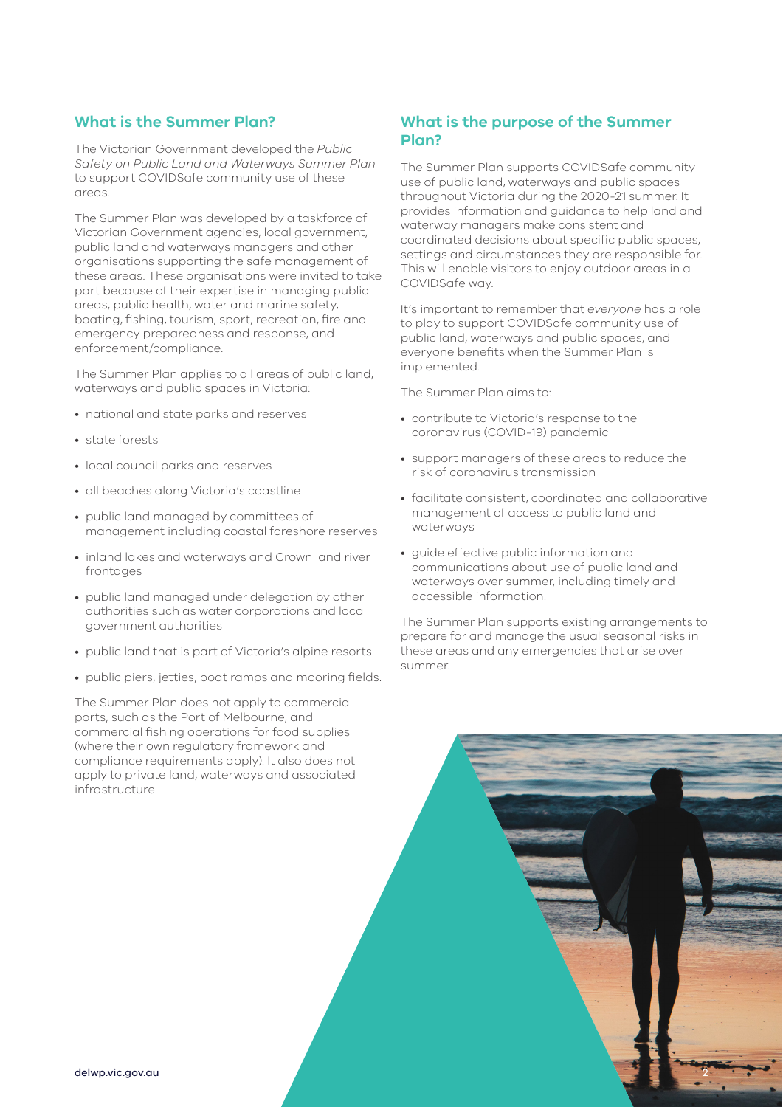#### **What is the Summer Plan?**

The Victorian Government developed the *Public Safety on Public Land and Waterways Summer Plan* to support COVIDSafe community use of these areas.

The Summer Plan was developed by a taskforce of Victorian Government agencies, local government, public land and waterways managers and other organisations supporting the safe management of these areas. These organisations were invited to take part because of their expertise in managing public areas, public health, water and marine safety, boating, fishing, tourism, sport, recreation, fire and emergency preparedness and response, and enforcement/compliance.

The Summer Plan applies to all areas of public land, waterways and public spaces in Victoria:

- national and state parks and reserves
- state forests
- local council parks and reserves
- all beaches along Victoria's coastline
- public land managed by committees of management including coastal foreshore reserves
- inland lakes and waterways and Crown land river frontages
- public land managed under delegation by other authorities such as water corporations and local government authorities
- public land that is part of Victoria's alpine resorts
- public piers, jetties, boat ramps and mooring fields.

The Summer Plan does not apply to commercial ports, such as the Port of Melbourne, and commercial fishing operations for food supplies (where their own regulatory framework and compliance requirements apply). It also does not apply to private land, waterways and associated infrastructure.

#### **What is the purpose of the Summer Plan?**

The Summer Plan supports COVIDSafe community use of public land, waterways and public spaces throughout Victoria during the 2020-21 summer. It provides information and guidance to help land and waterway managers make consistent and coordinated decisions about specific public spaces, settings and circumstances they are responsible for. This will enable visitors to enjoy outdoor areas in a COVIDSafe way.

It's important to remember that *everyone* has a role to play to support COVIDSafe community use of public land, waterways and public spaces, and everyone benefits when the Summer Plan is implemented.

The Summer Plan aims to:

- contribute to Victoria's response to the coronavirus (COVID-19) pandemic
- support managers of these areas to reduce the risk of coronavirus transmission
- facilitate consistent, coordinated and collaborative management of access to public land and waterways
- guide effective public information and communications about use of public land and waterways over summer, including timely and accessible information.

The Summer Plan supports existing arrangements to prepare for and manage the usual seasonal risks in these areas and any emergencies that arise over summer.